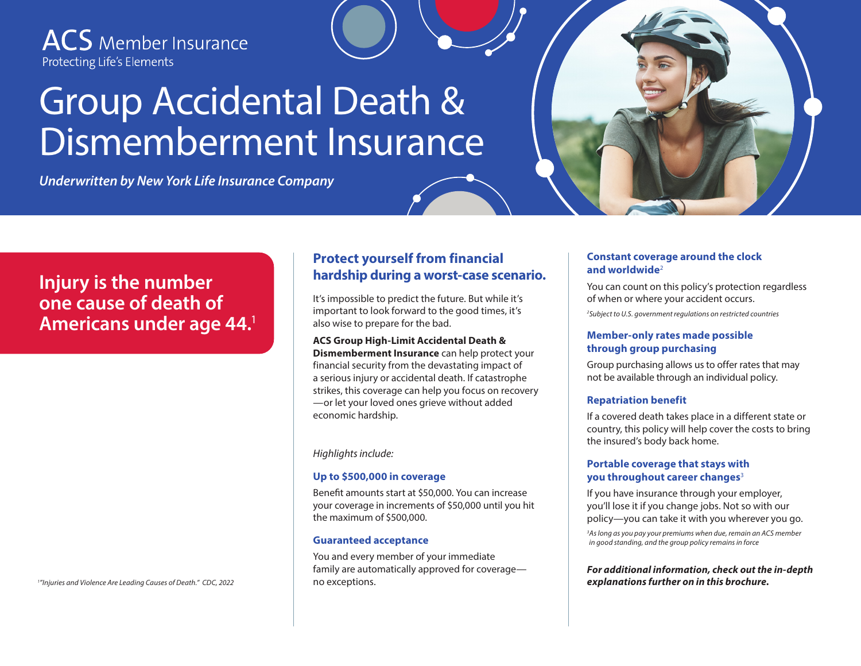**ACS** Member Insurance Protecting Life's Elements

# Group Accidental Death & Dismemberment Insurance

*Underwritten by New York Life Insurance Company*

## **Injury is the number one cause of death of Americans under age 44.**<sup>1</sup>

no exceptions. *<sup>1</sup> "Injuries and Violence Are Leading Causes of Death." CDC, 2022*

#### **Protect yourself from financial hardship during a worst-case scenario.**

It's impossible to predict the future. But while it's important to look forward to the good times, it's also wise to prepare for the bad.

**ACS Group High-Limit Accidental Death & Dismemberment Insurance** can help protect your financial security from the devastating impact of a serious injury or accidental death. If catastrophe strikes, this coverage can help you focus on recovery —or let your loved ones grieve without added economic hardship.

*Highlights include:* 

#### **Up to \$500,000 in coverage**

Benefit amounts start at \$50,000. You can increase your coverage in increments of \$50,000 until you hit the maximum of \$500,000.

#### **Guaranteed acceptance**

You and every member of your immediate family are automatically approved for coverage—

#### **Constant coverage around the clock and worldwide**<sup>2</sup>

You can count on this policy's protection regardless of when or where your accident occurs. *2 Subject to U.S. government regulations on restricted countries*

#### **Member-only rates made possible through group purchasing**

Group purchasing allows us to offer rates that may not be available through an individual policy.

#### **Repatriation benefit**

If a covered death takes place in a different state or country, this policy will help cover the costs to bring the insured's body back home.

#### **Portable coverage that stays with you throughout career changes**<sup>3</sup>

If you have insurance through your employer, you'll lose it if you change jobs. Not so with our policy—you can take it with you wherever you go.

*3 As long as you pay your premiums when due, remain an ACS member in good standing, and the group policy remains in force*

*For additional information, check out the in-depth explanations further on in this brochure.*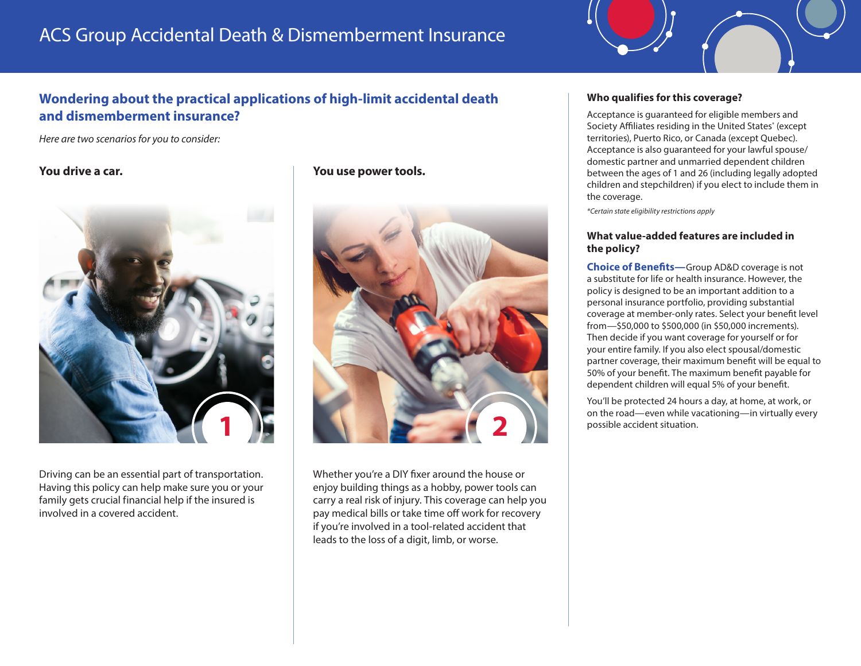## ACS Group Accidental Death & Dismemberment Insurance

### **Wondering about the practical applications of high-limit accidental death and dismemberment insurance?**

*Here are two scenarios for you to consider:*



Driving can be an essential part of transportation. Having this policy can help make sure you or your family gets crucial financial help if the insured is involved in a covered accident.

**You drive a car. You use power tools.**



Whether you're a DIY fixer around the house or enjoy building things as a hobby, power tools can carry a real risk of injury. This coverage can help you pay medical bills or take time off work for recovery if you're involved in a tool-related accident that leads to the loss of a digit, limb, or worse.

#### **Who qualifies for this coverage?**

Acceptance is guaranteed for eligible members and Society Affiliates residing in the United States\* (except territories), Puerto Rico, or Canada (except Quebec). Acceptance is also guaranteed for your lawful spouse/ domestic partner and unmarried dependent children between the ages of 1 and 26 (including legally adopted children and stepchildren) if you elect to include them in the coverage.

*\*Certain state eligibility restrictions apply*

#### **What value-added features are included in the policy?**

**Choice of Benefits—**Group AD&D coverage is not a substitute for life or health insurance. However, the policy is designed to be an important addition to a personal insurance portfolio, providing substantial coverage at member-only rates. Select your benefit level from—\$50,000 to \$500,000 (in \$50,000 increments). Then decide if you want coverage for yourself or for your entire family. If you also elect spousal/domestic partner coverage, their maximum benefit will be equal to 50% of your benefit. The maximum benefit payable for dependent children will equal 5% of your benefit.

You'll be protected 24 hours a day, at home, at work, or on the road—even while vacationing—in virtually every possible accident situation.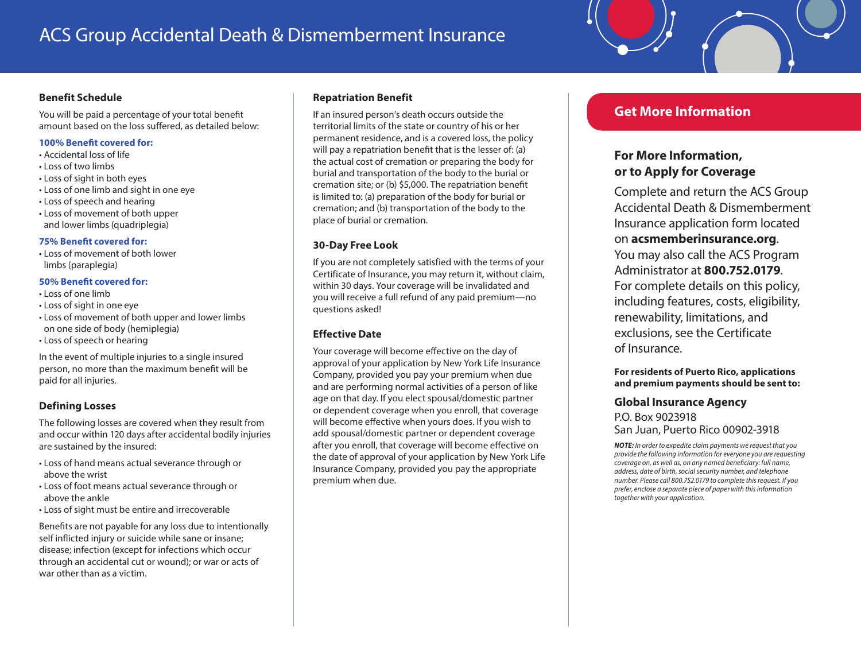## ACS Group Accidental Death & Dismemberment Insurance

#### **Benefit Schedule**

You will be paid a percentage of your total benefit amount based on the loss suffered, as detailed below:

#### **100% Benefit covered for:**

- Accidental loss of life
- Loss of two limbs
- Loss of sight in both eyes
- Loss of one limb and sight in one eye
- Loss of speech and hearing
- Loss of movement of both upper and lower limbs (quadriplegia)

#### **75% Benefit covered for:**

• Loss of movement of both lower limbs (paraplegia)

#### **50% Benefit covered for:**

- Loss of one limb
- Loss of sight in one eye
- Loss of movement of both upper and lower limbs on one side of body (hemiplegia)
- Loss of speech or hearing

In the event of multiple injuries to a single insured person, no more than the maximum benefit will be paid for all injuries.

#### **Defining Losses**

The following losses are covered when they result from and occur within 120 days after accidental bodily injuries are sustained by the insured:

- Loss of hand means actual severance through or above the wrist
- Loss of foot means actual severance through or above the ankle
- Loss of sight must be entire and irrecoverable

Benefits are not payable for any loss due to intentionally self inflicted injury or suicide while sane or insane; disease; infection (except for infections which occur through an accidental cut or wound); or war or acts of war other than as a victim.

#### **Repatriation Benefit**

If an insured person's death occurs outside the territorial limits of the state or country of his or her permanent residence, and is a covered loss, the policy will pay a repatriation benefit that is the lesser of: (a) the actual cost of cremation or preparing the body for burial and transportation of the body to the burial or cremation site; or (b) \$5,000. The repatriation benefit is limited to: (a) preparation of the body for burial or cremation; and (b) transportation of the body to the place of burial or cremation.

#### **30-Day Free Look**

If you are not completely satisfied with the terms of your Certificate of Insurance, you may return it, without claim, within 30 days. Your coverage will be invalidated and you will receive a full refund of any paid premium—no questions asked!

#### **Effective Date**

Your coverage will become effective on the day of approval of your application by New York Life Insurance Company, provided you pay your premium when due and are performing normal activities of a person of like age on that day. If you elect spousal/domestic partner or dependent coverage when you enroll, that coverage will become effective when yours does. If you wish to add spousal/domestic partner or dependent coverage after you enroll, that coverage will become effective on the date of approval of your application by New York Life Insurance Company, provided you pay the appropriate premium when due.

#### **Get More Information**

#### **For More Information, or to Apply for Coverage**

Complete and return the ACS Group Accidental Death & Dismemberment Insurance application form located on **acsmemberinsurance.org**. You may also call the ACS Program Administrator at **800.752.0179**. For complete details on this policy, including features, costs, eligibility, renewability, limitations, and exclusions, see the Certificate of Insurance.

#### **For residents of Puerto Rico, applications and premium payments should be sent to:**

#### **Global Insurance Agency**

P.O. Box 9023918 San Juan, Puerto Rico 00902-3918

*NOTE: In order to expedite claim payments we request that you provide the following information for everyone you are requesting coverage on, as well as, on any named beneficiary: full name, address, date of birth, social security number, and telephone number. Please call 800.752.0179 to complete this request. If you prefer, enclose a separate piece of paper with this information together with your application.*